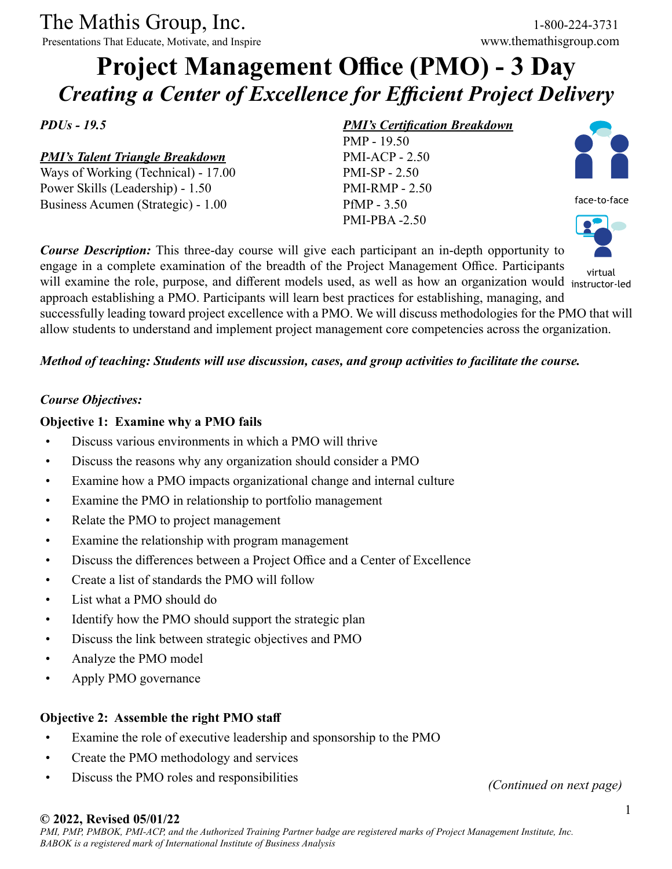The Mathis Group, Inc. 1-800-224-3731

Presentations That Educate, Motivate, and Inspire www.themathisgroup.com

# **Project Management Office (PMO) - 3 Day** *Creating a Center of Excellence for Efficient Project Delivery*

*PDUs - 19.5*

*PMI's Talent Triangle Breakdown*

Ways of Working (Technical) - 17.00 Power Skills (Leadership) - 1.50 Business Acumen (Strategic) - 1.00

#### *PMI's Certification Breakdown*

PMP - 19.50 PMI-ACP - 2.50 PMI-SP - 2.50 PMI-RMP - 2.50 PfMP - 3.50 PMI-PBA -2.50



face-to-face



engage in a complete examination of the breadth of the Project Management Office. Participants will examine the role, purpose, and different models used, as well as how an organization would instructor-led approach establishing a PMO. Participants will learn best practices for establishing, managing, and successfully leading toward project excellence with a PMO. We will discuss methodologies for the PMO that will allow students to understand and implement project management core competencies across the organization. virtual

## *Method of teaching: Students will use discussion, cases, and group activities to facilitate the course.*

*Course Description:* This three-day course will give each participant an in-depth opportunity to

#### *Course Objectives:*

## **Objective 1: Examine why a PMO fails**

- Discuss various environments in which a PMO will thrive
- Discuss the reasons why any organization should consider a PMO
- Examine how a PMO impacts organizational change and internal culture
- Examine the PMO in relationship to portfolio management
- Relate the PMO to project management
- Examine the relationship with program management
- Discuss the differences between a Project Office and a Center of Excellence
- Create a list of standards the PMO will follow
- List what a PMO should do
- Identify how the PMO should support the strategic plan
- Discuss the link between strategic objectives and PMO
- Analyze the PMO model
- Apply PMO governance

## **Objective 2: Assemble the right PMO staff**

- Examine the role of executive leadership and sponsorship to the PMO
- Create the PMO methodology and services
- Discuss the PMO roles and responsibilities

*(Continued on next page)*

#### **© 2022, Revised 05/01/22**